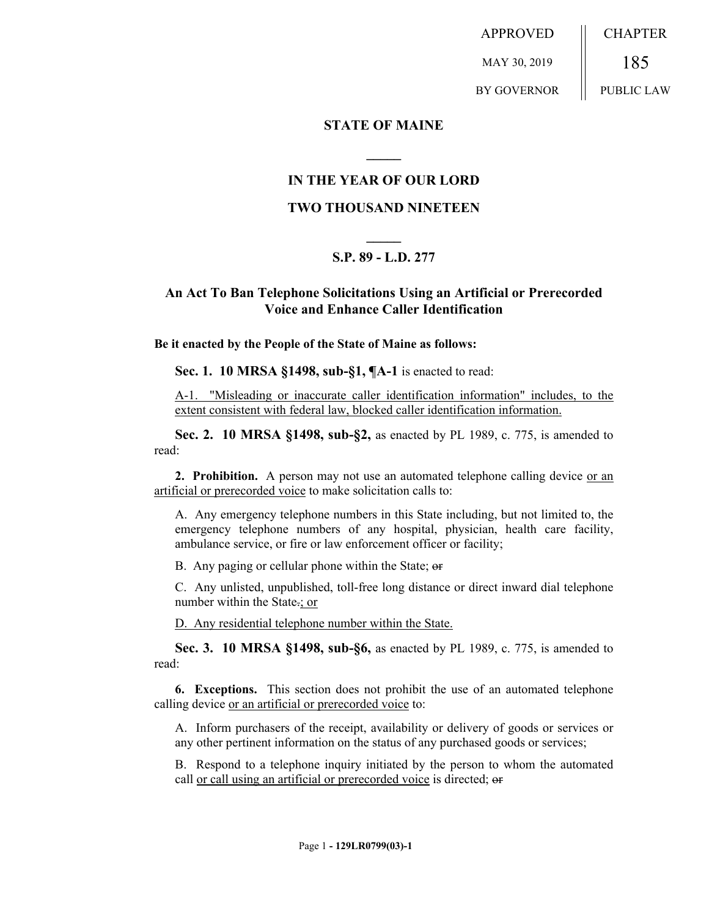APPROVED MAY 30, 2019 BY GOVERNOR CHAPTER 185 PUBLIC LAW

### **STATE OF MAINE**

## **IN THE YEAR OF OUR LORD**

**\_\_\_\_\_**

#### **TWO THOUSAND NINETEEN**

# **\_\_\_\_\_ S.P. 89 - L.D. 277**

## **An Act To Ban Telephone Solicitations Using an Artificial or Prerecorded Voice and Enhance Caller Identification**

**Be it enacted by the People of the State of Maine as follows:**

**Sec. 1. 10 MRSA §1498, sub-§1, ¶A-1** is enacted to read:

A-1. "Misleading or inaccurate caller identification information" includes, to the extent consistent with federal law, blocked caller identification information.

**Sec. 2. 10 MRSA §1498, sub-§2,** as enacted by PL 1989, c. 775, is amended to read:

**2. Prohibition.** A person may not use an automated telephone calling device or an artificial or prerecorded voice to make solicitation calls to:

A. Any emergency telephone numbers in this State including, but not limited to, the emergency telephone numbers of any hospital, physician, health care facility, ambulance service, or fire or law enforcement officer or facility;

B. Any paging or cellular phone within the State; or

C. Any unlisted, unpublished, toll-free long distance or direct inward dial telephone number within the State.; or

D. Any residential telephone number within the State.

**Sec. 3. 10 MRSA §1498, sub-§6,** as enacted by PL 1989, c. 775, is amended to read:

**6. Exceptions.** This section does not prohibit the use of an automated telephone calling device or an artificial or prerecorded voice to:

A. Inform purchasers of the receipt, availability or delivery of goods or services or any other pertinent information on the status of any purchased goods or services;

B. Respond to a telephone inquiry initiated by the person to whom the automated call or call using an artificial or prerecorded voice is directed; or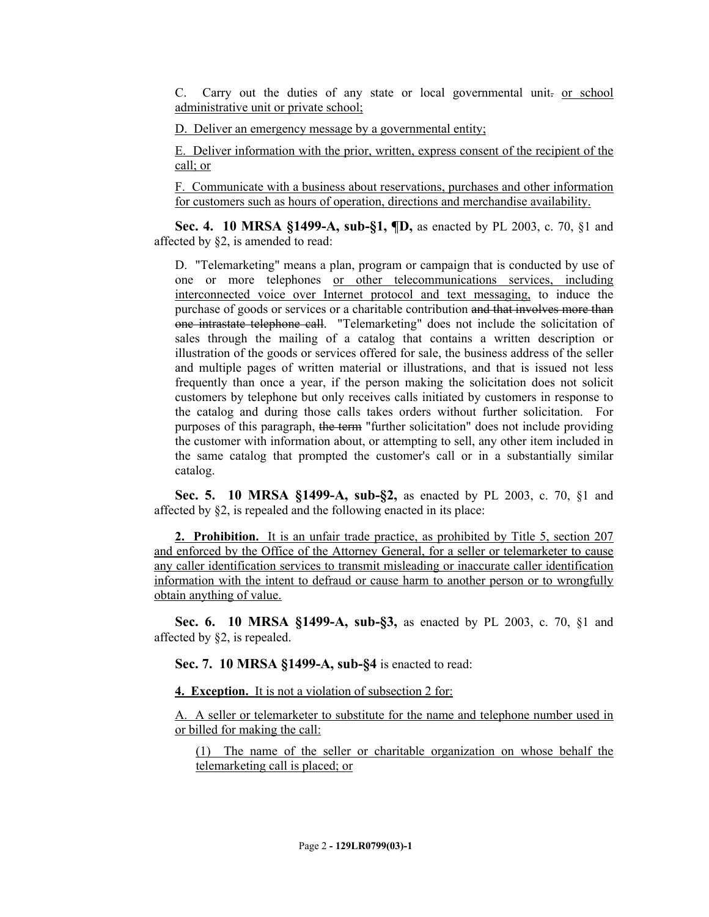C. Carry out the duties of any state or local governmental unit- or school administrative unit or private school;

D. Deliver an emergency message by a governmental entity;

E. Deliver information with the prior, written, express consent of the recipient of the call; or

F. Communicate with a business about reservations, purchases and other information for customers such as hours of operation, directions and merchandise availability.

**Sec. 4. 10 MRSA §1499-A, sub-§1, ¶D,** as enacted by PL 2003, c. 70, §1 and affected by §2, is amended to read:

D. "Telemarketing" means a plan, program or campaign that is conducted by use of one or more telephones or other telecommunications services, including interconnected voice over Internet protocol and text messaging, to induce the purchase of goods or services or a charitable contribution and that involves more than one intrastate telephone call. "Telemarketing" does not include the solicitation of sales through the mailing of a catalog that contains a written description or illustration of the goods or services offered for sale, the business address of the seller and multiple pages of written material or illustrations, and that is issued not less frequently than once a year, if the person making the solicitation does not solicit customers by telephone but only receives calls initiated by customers in response to the catalog and during those calls takes orders without further solicitation. For purposes of this paragraph, the term "further solicitation" does not include providing the customer with information about, or attempting to sell, any other item included in the same catalog that prompted the customer's call or in a substantially similar catalog.

**Sec. 5. 10 MRSA §1499-A, sub-§2,** as enacted by PL 2003, c. 70, §1 and affected by §2, is repealed and the following enacted in its place:

**2. Prohibition.** It is an unfair trade practice, as prohibited by Title 5, section 207 and enforced by the Office of the Attorney General, for a seller or telemarketer to cause any caller identification services to transmit misleading or inaccurate caller identification information with the intent to defraud or cause harm to another person or to wrongfully obtain anything of value.

**Sec. 6. 10 MRSA §1499-A, sub-§3,** as enacted by PL 2003, c. 70, §1 and affected by §2, is repealed.

**Sec. 7. 10 MRSA §1499-A, sub-§4** is enacted to read:

**4. Exception.** It is not a violation of subsection 2 for:

A. A seller or telemarketer to substitute for the name and telephone number used in or billed for making the call:

(1) The name of the seller or charitable organization on whose behalf the telemarketing call is placed; or